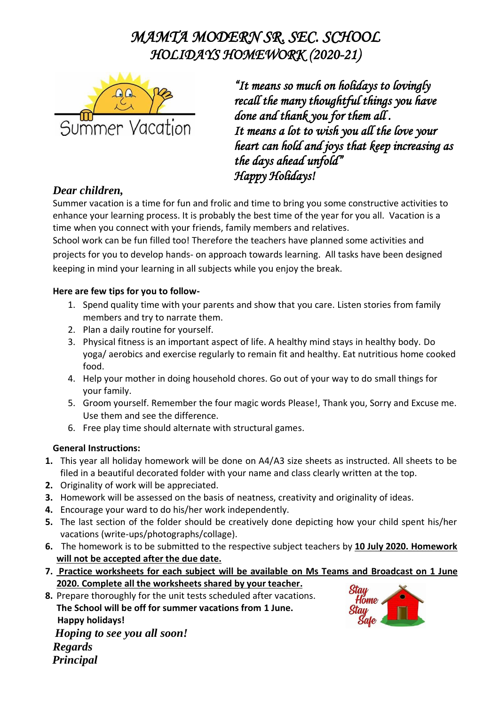# *MAMTA MODERN SR. SEC. SCHOOL HOLIDAYS HOMEWORK (2020-21)*



*"It means so much on holidays to lovingly recall the many thoughtful things you have done and thank you for them all . It means a lot to wish you all the love your heart can hold and joys that keep increasing as the days ahead unfold" Happy Holidays!* 

#### *Dear children,*

Summer vacation is a time for fun and frolic and time to bring you some constructive activities to enhance your learning process. It is probably the best time of the year for you all. Vacation is a time when you connect with your friends, family members and relatives.

School work can be fun filled too! Therefore the teachers have planned some activities and projects for you to develop hands- on approach towards learning. All tasks have been designed keeping in mind your learning in all subjects while you enjoy the break.

#### **Here are few tips for you to follow-**

- 1. Spend quality time with your parents and show that you care. Listen stories from family members and try to narrate them.
- 2. Plan a daily routine for yourself.
- 3. Physical fitness is an important aspect of life. A healthy mind stays in healthy body. Do yoga/ aerobics and exercise regularly to remain fit and healthy. Eat nutritious home cooked food.
- 4. Help your mother in doing household chores. Go out of your way to do small things for your family.
- 5. Groom yourself. Remember the four magic words Please!, Thank you, Sorry and Excuse me. Use them and see the difference.
- 6. Free play time should alternate with structural games.

#### **General Instructions:**

- **1.** This year all holiday homework will be done on A4/A3 size sheets as instructed. All sheets to be filed in a beautiful decorated folder with your name and class clearly written at the top.
- **2.** Originality of work will be appreciated.
- **3.** Homework will be assessed on the basis of neatness, creativity and originality of ideas.
- **4.** Encourage your ward to do his/her work independently.
- **5.** The last section of the folder should be creatively done depicting how your child spent his/her vacations (write-ups/photographs/collage).
- **6.** The homework is to be submitted to the respective subject teachers by **10 July 2020. Homework will not be accepted after the due date.**
- **7. Practice worksheets for each subject will be available on Ms Teams and Broadcast on 1 June 2020. Complete all the worksheets shared by your teacher.**
- **8.** Prepare thoroughly for the unit tests scheduled after vacations. **The School will be off for summer vacations from 1 June. Happy holidays!**



*Hoping to see you all soon! Regards Principal*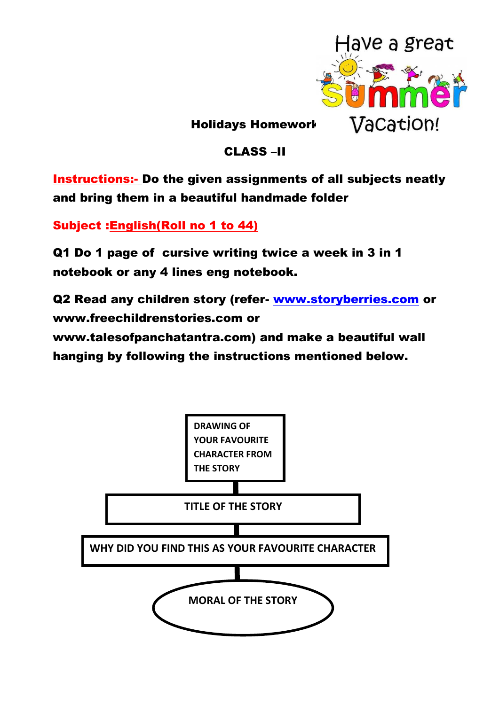

Holidays Homework

### CLASS –II

Instructions:- Do the given assignments of all subjects neatly and bring them in a beautiful handmade folder

Subject :English(Roll no 1 to 44)

Q1 Do 1 page of cursive writing twice a week in 3 in 1 notebook or any 4 lines eng notebook.

Q2 Read any children story (refer- [www.storyberries.com](http://www.storyberries.com/) or www.freechildrenstories.com or

www.talesofpanchatantra.com) and make a beautiful wall hanging by following the instructions mentioned below.

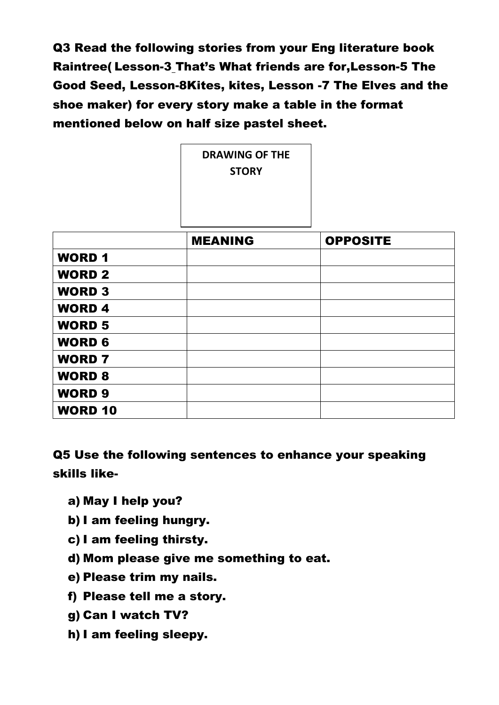Q3 Read the following stories from your Eng literature book Raintree( Lesson-3 That's What friends are for,Lesson-5 The Good Seed, Lesson-8Kites, kites, Lesson -7 The Elves and the shoe maker) for every story make a table in the format mentioned below on half size pastel sheet.

|                | <b>DRAWING OF THE</b><br><b>STORY</b> |                 |
|----------------|---------------------------------------|-----------------|
|                |                                       |                 |
|                | <b>MEANING</b>                        | <b>OPPOSITE</b> |
| <b>WORD1</b>   |                                       |                 |
| <b>WORD 2</b>  |                                       |                 |
| <b>WORD 3</b>  |                                       |                 |
| <b>WORD 4</b>  |                                       |                 |
| <b>WORD 5</b>  |                                       |                 |
| <b>WORD 6</b>  |                                       |                 |
| <b>WORD 7</b>  |                                       |                 |
| <b>WORD 8</b>  |                                       |                 |
| <b>WORD 9</b>  |                                       |                 |
| <b>WORD 10</b> |                                       |                 |

Q5 Use the following sentences to enhance your speaking skills like-

- a) May I help you?
- b) I am feeling hungry.
- c) I am feeling thirsty.
- d) Mom please give me something to eat.
- e) Please trim my nails.
- f) Please tell me a story.
- g) Can I watch TV?
- h) I am feeling sleepy.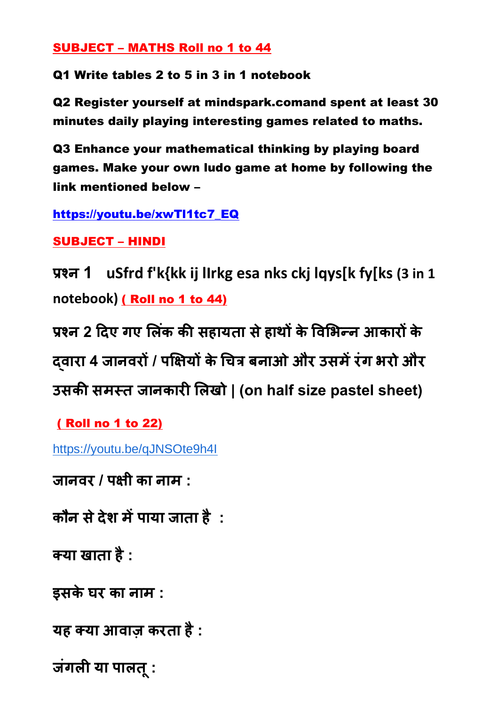#### SUBJECT – MATHS Roll no 1 to 44

Q1 Write tables 2 to 5 in 3 in 1 notebook

Q2 Register yourself at mindspark.comand spent at least 30 minutes daily playing interesting games related to maths.

Q3 Enhance your mathematical thinking by playing board games. Make your own ludo game at home by following the link mentioned below –

[https://youtu.be/xwTl1tc7\\_EQ](https://youtu.be/xwTl1tc7_EQ)

SUBJECT – HINDI

**प्रश्न 1 uSfrd f'k{kk ij lIrkg esa nks ckj lqys[k fy[ks (3 in 1 notebook)** ( Roll no 1 to 44)

**प्रश्न 2 दिए गए ल िंक की सहायता सेहाथों केविलिन्न आकारों के द्िारा 4 जानिरों / पक्षियों केचित्र बनाओ और उसमेंरिंग िरो और उसकी समस्त जानकारी ल खो | (on half size pastel sheet)**

( Roll no 1 to 22)

<https://youtu.be/qJNSOte9h4I>

**जानिर / पिी का नाम :**

**कौन सेिेश मेंपाया जाता है :**

**क्या खाता है:**

**इसकेघर का नाम :**

**यह क्या आिाज़ करता है:**

**जिंग ी या पा तू :**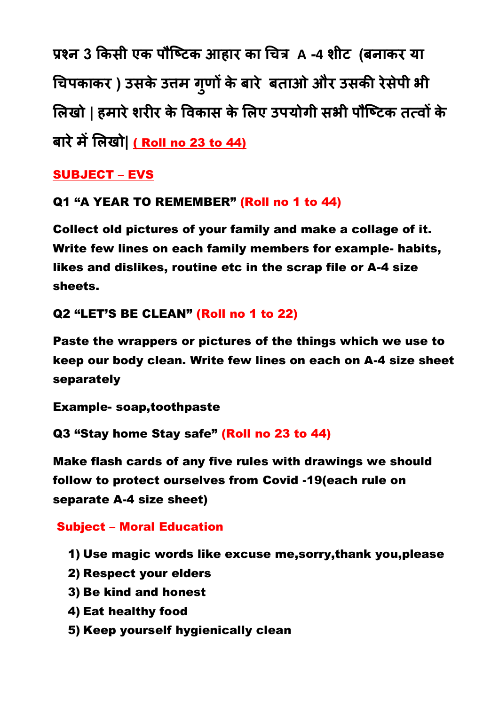**प्रश्न 3 ककसी एक पौष्टिक आहार का चित्र A -4 शीि (बनाकर या चिपकाकर ) उसके उत्तम ग ु णों के बारे बताओ और उसकी रेसेपी िी ल खो | हमारेशरीर केविकास केल ए उपयोगी सिी पौष्टिक तत्िों के बारेमेंल खो|** ( Roll no 23 to 44)

## SUBJECT – EVS

## Q1 "A YEAR TO REMEMBER" (Roll no 1 to 44)

Collect old pictures of your family and make a collage of it. Write few lines on each family members for example- habits, likes and dislikes, routine etc in the scrap file or A-4 size sheets.

#### Q2 "LET'S BE CLEAN" (Roll no 1 to 22)

Paste the wrappers or pictures of the things which we use to keep our body clean. Write few lines on each on A-4 size sheet separately

Example- soap,toothpaste

Q3 "Stay home Stay safe" (Roll no 23 to 44)

Make flash cards of any five rules with drawings we should follow to protect ourselves from Covid -19(each rule on separate A-4 size sheet)

## Subject – Moral Education

- 1) Use magic words like excuse me,sorry,thank you,please
- 2) Respect your elders
- 3) Be kind and honest
- 4) Eat healthy food
- 5) Keep yourself hygienically clean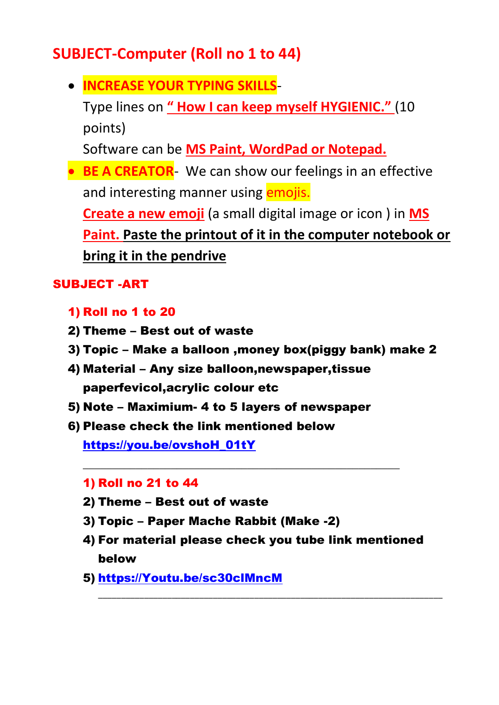# **SUBJECT-Computer (Roll no 1 to 44)**

• **INCREASE YOUR TYPING SKILLS**-

Type lines on **" How I can keep myself HYGIENIC."** (10 points)

Software can be **MS Paint, WordPad or Notepad.**

**• BE A CREATOR**- We can show our feelings in an effective and interesting manner using emojis. **Create a new emoji** (a small digital image or icon ) in **MS Paint. Paste the printout of it in the computer notebook or** 

**bring it in the pendrive**

## SUBJECT -ART

- 1) Roll no 1 to 20
- 2) Theme Best out of waste
- 3) Topic Make a balloon ,money box(piggy bank) make 2
- 4) Material Any size balloon,newspaper,tissue paperfevicol,acrylic colour etc
- 5) Note Maximium- 4 to 5 layers of newspaper
- 6) Please check the link mentioned below

[https://you.be/ovshoH\\_01tY](https://you.be/ovshoH_01tY)

#### 1) Roll no 21 to 44

- 2) Theme Best out of waste
- 3) Topic Paper Mache Rabbit (Make -2)
- 4) For material please check you tube link mentioned below

\_\_\_\_\_\_\_\_\_\_\_\_\_\_\_\_\_\_\_\_\_\_\_\_\_\_\_\_\_\_\_\_\_\_\_\_\_\_\_\_\_\_\_\_\_\_\_\_\_\_\_\_\_\_\_\_\_\_\_\_\_\_\_\_\_\_\_\_\_\_\_\_\_\_\_

\_\_\_\_\_\_\_\_\_\_\_\_\_\_\_\_\_\_\_\_\_\_\_\_\_\_\_\_\_\_\_\_\_\_\_\_\_\_\_\_\_\_\_\_\_\_\_\_\_\_\_\_\_\_

5) [https://Youtu.be/sc30clMncM](https://youtu.be/sc30clMncM)